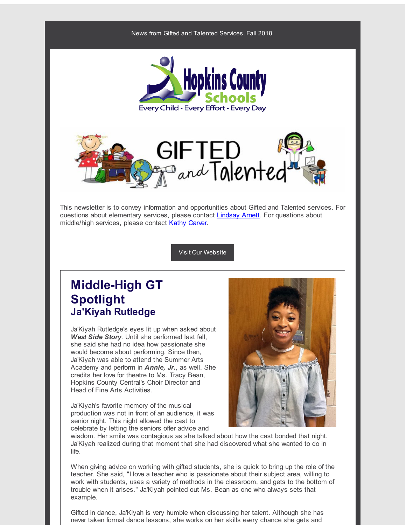



This newsletter is to convey information and opportunities about Gifted and Talented services. For questions about elementary services, please contact **[Lindsay](mailto:lindsay.arnett@hopkins.kyschools.us) Arnett**. For questions about middle/high services, please contact Kathy [Carver](mailto:kathy.carver@hopkins.kyschools.us).

Visit Our [Website](http://r20.rs6.net/tn.jsp?f=0012THEhGGMJxtwTd8k0iK33XqJKqmutrXmu_NFt7K4zLGiVYSdJS7z5VQvNWJZ04eUzYBACeEq7ndfNP3LA9F-L6SugEzHxfJYAHDO-OMZ3djTUIl2xVEFCXA4c2bWCY54hXYiJSU5HQPYkC5GKEdmHobES7nxpW_X9ymCc8G-vWLlq4odqgxgSiQSeYdzQca-1J9UcWE5fWI=&c=&ch=)

# **Middle-High GT Spotlight Ja'Kiyah Rutledge**

Ja'Kiyah Rutledge's eyes lit up when asked about *West Side Story*. Until she performed last fall, she said she had no idea how passionate she would become about performing. Since then, Ja'Kiyah was able to attend the Summer Arts Academy and perform in *Annie, Jr.*, as well. She credits her love for theatre to Ms. Tracy Bean, Hopkins County Central's Choir Director and Head of Fine Arts Activities.

Ja'Kiyah's favorite memory of the musical production was not in front of an audience, it was senior night. This night allowed the cast to celebrate by letting the seniors offer advice and



wisdom. Her smile was contagious as she talked about how the cast bonded that night. Ja'Kiyah realized during that moment that she had discovered what she wanted to do in life.

When giving advice on working with gifted students, she is quick to bring up the role of the teacher. She said, "I love a teacher who is passionate about their subject area, willing to work with students, uses a variety of methods in the classroom, and gets to the bottom of trouble when it arises." Ja'Kiyah pointed out Ms. Bean as one who always sets that example.

Gifted in dance, Ja'Kiyah is very humble when discussing her talent. Although she has never taken formal dance lessons, she works on her skills every chance she gets and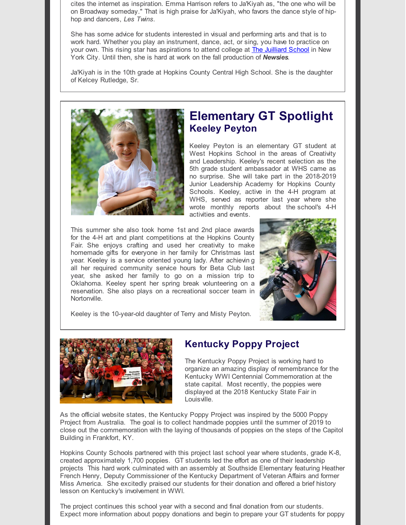cites the internet as inspiration. Emma Harrison refers to Ja'Kiyah as, "the one who will be on Broadway someday." That is high praise for Ja'Kiyah, who favors the dance style of hiphop and dancers, *Les Twins*.

She has some advice for students interested in visual and performing arts and that is to work hard. Whether you play an instrument, dance, act, or sing, you have to practice on your own. This rising star has aspirations to attend college at **The [Juilliard](http://r20.rs6.net/tn.jsp?f=0012THEhGGMJxtwTd8k0iK33XqJKqmutrXmu_NFt7K4zLGiVYSdJS7z5bfJWzp4-_waujlQrRqEO-fau8NUUXjXm1nRBAWaXFGAguUxyi0VHFx0fqRypatXDzilh6g4pI1bZbUS67AYrN8jsxC1DetId534BqQETyEfCMiWeTOUnOeQf5wHdnvIWw==&c=&ch=) School** in New York City. Until then, she is hard at work on the fall production of *Newsies*.

Ja'Kiyah is in the 10th grade at Hopkins County Central High School. She is the daughter of Kelcey Rutledge, Sr.



# **Elementary GT Spotlight Keeley Peyton**

Keeley Peyton is an elementary GT student at West Hopkins School in the areas of Creativity and Leadership. Keeley's recent selection as the 5th grade student ambassador at WHS came as no surprise. She will take part in the 2018-2019 Junior Leadership Academy for Hopkins County Schools. Keeley, active in the 4-H program at WHS, served as reporter last year where she wrote monthly reports about the school's 4-H activities and events.

This summer she also took home 1st and 2nd place awards for the 4-H art and plant competitions at the Hopkins County Fair. She enjoys crafting and used her creativity to make homemade gifts for everyone in her family for Christmas last year. Keeley is a service oriented young lady. After achievin g all her required community service hours for Beta Club last year, she asked her family to go on a mission trip to Oklahoma. Keeley spent her spring break volunteering on a reservation. She also plays on a recreational soccer team in Nortonville.



Keeley is the 10-year-old daughter of Terry and Misty Peyton.



### **Kentucky Poppy Project**

The Kentucky Poppy Project is working hard to organize an amazing display of remembrance for the Kentucky WWI Centennial Commemoration at the state capital. Most recently, the poppies were displayed at the 2018 Kentucky State Fair in Louisville.

As the official website states, the Kentucky Poppy Project was inspired by the 5000 Poppy Project from Australia. The goal is to collect handmade poppies until the summer of 2019 to close out the commemoration with the laying of thousands of poppies on the steps of the Capitol Building in Frankfort, KY.

Hopkins County Schools partnered with this project last school year where students, grade K-8, created approximately 1,700 poppies. GT students led the effort as one of their leadership projects This hard work culminated with an assembly at Southside Elementary featuring Heather French Henry, Deputy Commissioner of the Kentucky Department of Veteran Affairs and former Miss America. She excitedly praised our students for their donation and offered a brief history lesson on Kentucky's involvement in WWI.

The project continues this school year with a second and final donation from our students. Expect more information about poppy donations and begin to prepare your GT students for poppy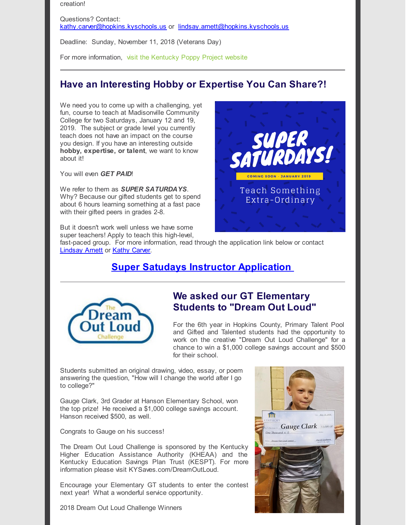creation!

Questions? Contact: [kathy.carver@hopkins.kyschools.us](mailto:kathy.carver@hopkins.kyschools.us) or [lindsay.arnett@hopkins.kyschools.us](http://r20.rs6.net/tn.jsp?f=0012THEhGGMJxtwTd8k0iK33XqJKqmutrXmu_NFt7K4zLGiVYSdJS7z5bfJWzp4-_wacwwlGch4jOQ-db-WTtzF910DEpP5tvGXYSxfQmM0hdJz7Ut2_l58RhW6iTxMSMW_SYiOQJBxsrCsnGOINCdAGT8rKUKbcIkm&c=&ch=)

Deadline: Sunday, November 11, 2018 (Veterans Day)

For more information, visit the [Kentucky](http://r20.rs6.net/tn.jsp?f=0012THEhGGMJxtwTd8k0iK33XqJKqmutrXmu_NFt7K4zLGiVYSdJS7z5bfJWzp4-_waHVpg0g8r_kdDo5yrWgLWmI44gBkKKpLvxk7umbPvL6kgkdTbfUWDYeHBFAZwNs34bGl4xj9B3UsKwHcMcI_CDUrGg-VXGFex2WS49N-MYYAHM3gssFyZpQ==&c=&ch=) Poppy Project website

### **Have an Interesting Hobby or Expertise You Can Share?!**

We need you to come up with a challenging, yet fun, course to teach at Madisonville Community College for two Saturdays, January 12 and 19, 2019. The subject or grade level you currently teach does not have an impact on the course you design. If you have an interesting outside **hobby, expertise, or talent**, we want to know about it!

You will even *GET PAID*!

We refer to them as *SUPER SATURDAYS*. Why? Because our gifted students get to spend about 6 hours learning something at a fast pace with their gifted peers in grades 2-8.

But it doesn't work well unless we have some super teachers! Apply to teach this high-level,

fast-paced group. For more information, read through the application link below or contact [Lindsay](mailto:lindsay.arnett@hopkins.kyschools.us) Arnett or Kathy [Carver](mailto:kathy.carver@hopkins.kyschools.us).

### **Super Satudays Instructor [Application](http://r20.rs6.net/tn.jsp?f=0012THEhGGMJxtwTd8k0iK33XqJKqmutrXmu_NFt7K4zLGiVYSdJS7z5bfJWzp4-_waBuoOj_phFmAAapL2KWYuuDHNRZ6MvceRw98EU2Xs6tuwjoPbAebkL2k1GKPqioLfuXevtjUAFd3A3lFDSremYuYYS51oY73VmiQWnCh0LjRbdJEMmlk_9OXwtzUJB5UbRI6jeZvscwdcFnRd6FKqa2LE50vEOVozbsySzyEAaiovMDsEPhlPpDiVnNjSiMdOa4MmmYLznp8KJQjNxEcNLzLIol6IEfSi&c=&ch=)**



### **We asked our GT Elementary Students to "Dream Out Loud"**

For the 6th year in Hopkins County, Primary Talent Pool and Gifted and Talented students had the opportunity to work on the creative "Dream Out Loud Challenge" for a chance to win a \$1,000 college savings account and \$500 for their school.

Students submitted an original drawing, video, essay, or poem answering the question, "How will I change the world after I go to college?"

Gauge Clark, 3rd Grader at Hanson Elementary School, won the top prize! He received a \$1,000 college savings account. Hanson received \$500, as well.

Congrats to Gauge on his success!

The Dream Out Loud Challenge is sponsored by the Kentucky Higher Education Assistance Authority (KHEAA) and the Kentucky Education Savings Plan Trust (KESPT). For more information please visit KYSaves.com/DreamOutLoud.

Encourage your Elementary GT students to enter the contest next year! What a wonderful service opportunity.

2018 Dream Out Loud Challenge Winners



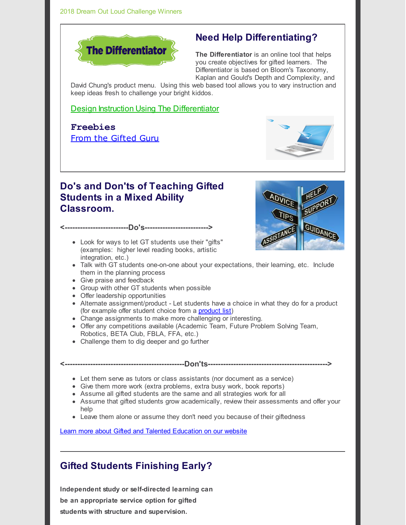

# **Need Help Differentiating?**

**The Differentiator** is an online tool that helps you create objectives for gifted learners. The Differentiator is based on Bloom's Taxonomy, Kaplan and Gould's Depth and Complexity, and

David Chung's product menu. Using this web based tool allows you to vary instruction and keep ideas fresh to challenge your bright kiddos.

[D](http://r20.rs6.net/tn.jsp?f=0012THEhGGMJxtwTd8k0iK33XqJKqmutrXmu_NFt7K4zLGiVYSdJS7z5bfJWzp4-_waQ0xOAu3bRMAVhjPxoBlFuZnLeB7YZmibylk-tKtfT-GXFR3BJzbwx_K4j0_1H_OPrN5I90LNeRW1erz8ood9oI_wQpHTB9MctZoO_XT5fM50QR37J7AgEwW0HEd-IEvn&c=&ch=)esign [Instruction](http://r20.rs6.net/tn.jsp?f=0012THEhGGMJxtwTd8k0iK33XqJKqmutrXmu_NFt7K4zLGiVYSdJS7z5bfJWzp4-_waQ0xOAu3bRMAVhjPxoBlFuZnLeB7YZmibylk-tKtfT-GXFR3BJzbwx_K4j0_1H_OPrN5I90LNeRW1erz8ood9oI_wQpHTB9MctZoO_XT5fM50QR37J7AgEwW0HEd-IEvn&c=&ch=) Using The [Differentiator](http://r20.rs6.net/tn.jsp?f=0012THEhGGMJxtwTd8k0iK33XqJKqmutrXmu_NFt7K4zLGiVYSdJS7z5bfJWzp4-_waQ0xOAu3bRMAVhjPxoBlFuZnLeB7YZmibylk-tKtfT-GXFR3BJzbwx_K4j0_1H_OPrN5I90LNeRW1erz8ood9oI_wQpHTB9MctZoO_XT5fM50QR37J7AgEwW0HEd-IEvn&c=&ch=)

**Freebies** From the [Gifted](http://r20.rs6.net/tn.jsp?f=0012THEhGGMJxtwTd8k0iK33XqJKqmutrXmu_NFt7K4zLGiVYSdJS7z5bfJWzp4-_waAtTqcTI3stXJ1mre4Zf-N73XrxOUHMKU4ZOYE3KQ2bk-lPWgyCmAmC0v4zP9-3TbFV8Ith4BVyoyehz6nArk5tWhnU8c1_oSbLKBcA4GV_5x1Y-Db6fYQf4krj7_ngAjXrCj3Ig9_W4=&c=&ch=) Guru



# **Do's and Don'ts of Teaching Gifted Students in a Mixed Ability Classroom.**

**<-------------------------Do's------------------------->**

Look for ways to let GT students use their "gifts" (examples: higher level reading books, artistic integration, etc.)

- Talk with GT students one-on-one about your expectations, their learning, etc. Include them in the planning process
- Give praise and feedback
- Group with other GT students when possible
- Offer leadership opportunities
- Alternate assignment/product Let students have a choice in what they do for a product (for example offer student choice from a [product](http://r20.rs6.net/tn.jsp?f=0012THEhGGMJxtwTd8k0iK33XqJKqmutrXmu_NFt7K4zLGiVYSdJS7z5bfJWzp4-_wazbju5UP7KQjt9muXk7TQKAZTY_RoN15BWT5_n3VjZRJRfe-r7aIE6VAifWEmc2vR9Uor3UBAN9PmGhHkJu2Kw3pa6-64GFBmTdjPMlmTNscyQYg9CTaeFbbkIWJh0yB1IySoXerMwiLp_zm53Pd9KTCNuW9ikAd8-fKrBN1xMVLe61p1NAtONVIVyjNSczCYEVe8Z2e9cVwTgurxwRPN1o85O6aLcwdIse0pi5EYtqCtXTA5FeanbO2Sf9YEejYY7EA-NhjcQWs=&c=&ch=) list)
- Change assignments to make more challenging or interesting.
- Offer any competitions available (Academic Team, Future Problem Solving Team, Robotics, BETA Club, FBLA, FFA, etc.)
- Challenge them to dig deeper and go further
- Let them serve as tutors or class assistants (nor document as a service)
- Give them more work (extra problems, extra busy work, book reports)
- Assume all gifted students are the same and all strategies work for all
- Assume that gifted students grow academically, review their assessments and offer your help

**<-----------------------------------------------Don'ts----------------------------------------------->**

Leave them alone or assume they don't need you because of their giftedness

Learn more about Gifted and Talented [Education](http://r20.rs6.net/tn.jsp?f=0012THEhGGMJxtwTd8k0iK33XqJKqmutrXmu_NFt7K4zLGiVYSdJS7z5VQvNWJZ04eUzYBACeEq7ndfNP3LA9F-L6SugEzHxfJYAHDO-OMZ3djTUIl2xVEFCXA4c2bWCY54hXYiJSU5HQPYkC5GKEdmHobES7nxpW_X9ymCc8G-vWLlq4odqgxgSiQSeYdzQca-1J9UcWE5fWI=&c=&ch=) on our website

## **Gifted Students Finishing Early?**

**Independent study or self-directed learning can be an appropriate service option for gifted students with structure and supervision.**